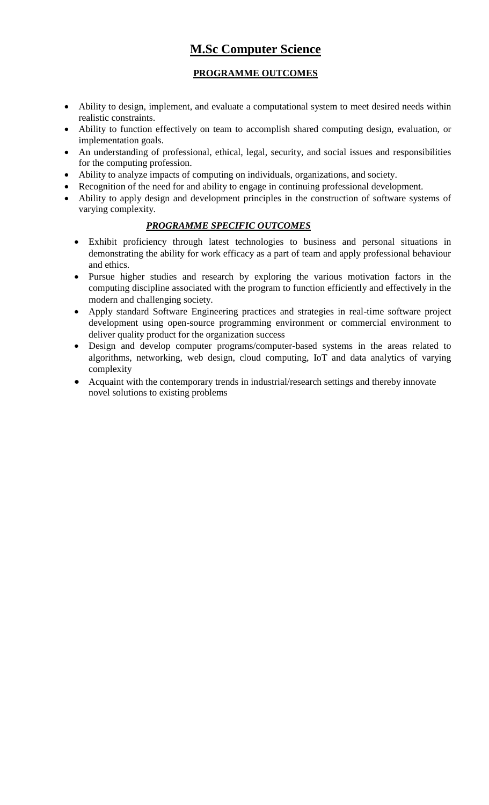# **M.Sc Computer Science**

## **PROGRAMME OUTCOMES**

- Ability to design, implement, and evaluate a computational system to meet desired needs within realistic constraints.
- Ability to function effectively on team to accomplish shared computing design, evaluation, or implementation goals.
- An understanding of professional, ethical, legal, security, and social issues and responsibilities for the computing profession.
- Ability to analyze impacts of computing on individuals, organizations, and society.
- Recognition of the need for and ability to engage in continuing professional development.
- Ability to apply design and development principles in the construction of software systems of varying complexity.

## *PROGRAMME SPECIFIC OUTCOMES*

- Exhibit proficiency through latest technologies to business and personal situations in demonstrating the ability for work efficacy as a part of team and apply professional behaviour and ethics.
- Pursue higher studies and research by exploring the various motivation factors in the computing discipline associated with the program to function efficiently and effectively in the modern and challenging society.
- Apply standard Software Engineering practices and strategies in real-time software project development using open-source programming environment or commercial environment to deliver quality product for the organization success
- Design and develop computer programs/computer-based systems in the areas related to algorithms, networking, web design, cloud computing, IoT and data analytics of varying complexity
- Acquaint with the contemporary trends in industrial/research settings and thereby innovate novel solutions to existing problems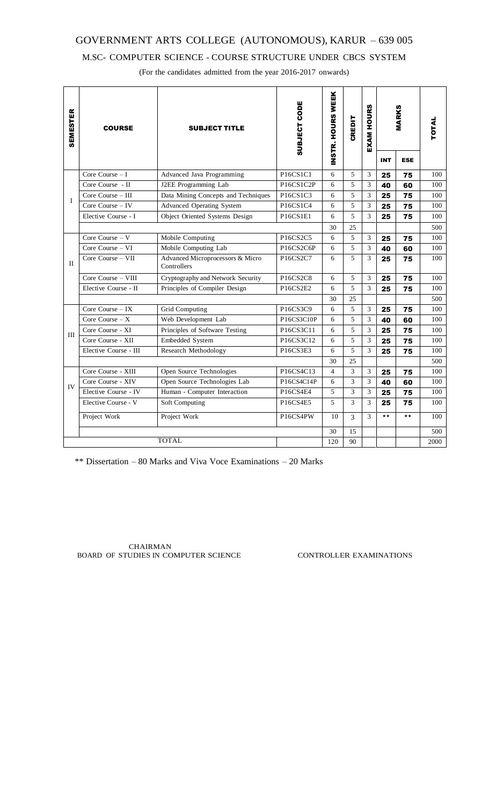## M.SC- COMPUTER SCIENCE - COURSE STRUCTURE UNDER CBCS SYSTEM

(For the candidates admitted from the year 2016-2017 onwards)

| <b>SEMESTER</b> | <b>COURSE</b>         | <b>SUBJECT TITLE</b>                            | <b>SUBJECT CODE</b> | INSTR. HOURS WEEK | CREDIT | <b>EXAM HOURS</b> | <b>MARKS</b> |            | TOTAL |
|-----------------|-----------------------|-------------------------------------------------|---------------------|-------------------|--------|-------------------|--------------|------------|-------|
|                 |                       |                                                 |                     |                   |        |                   | <b>INT</b>   | <b>ESE</b> |       |
|                 | Core Course $-I$      | Advanced Java Programming                       | P16CS1C1            | 6                 | 5      | 3                 | 25           | 75         | 100   |
| I               | Core Course - II      | J2EE Programming Lab                            | P16CS1C2P           | 6                 | 5      | 3                 | 40           | 60         | 100   |
|                 | Core Course $-$ III   | Data Mining Concepts and Techniques             | P16CS1C3            | 6                 | 5      | 3                 | 25           | 75         | 100   |
|                 | Core Course $-$ IV    | <b>Advanced Operating System</b>                | P16CS1C4            | 6                 | 5      | 3                 | 25           | 75         | 100   |
|                 | Elective Course - I   | Object Oriented Systems Design                  | P16CS1E1            | 6                 | 5      | 3                 | 25           | 75         | 100   |
|                 |                       |                                                 |                     | 30                | 25     |                   |              |            | 500   |
| П               | Core Course $- V$     | Mobile Computing                                | P16CS2C5            | 6                 | 5      | 3                 | 25           | 75         | 100   |
|                 | Core Course - VI      | Mobile Computing Lab                            | P16CS2C6P           | 6                 | 5      | 3                 | 40           | 60         | 100   |
|                 | Core Course - VII     | Advanced Microprocessors & Micro<br>Controllers | P16CS2C7            | 6                 | 5      | 3                 | 25           | 75         | 100   |
|                 | Core Course - VIII    | Cryptography and Network Security               | P16CS2C8            | 6                 | 5      | 3                 | 25           | 75         | 100   |
|                 | Elective Course - II  | Principles of Compiler Design                   | P16CS2E2            | 6                 | 5      | 3                 | 25           | 75         | 100   |
|                 |                       |                                                 |                     | 30                | 25     |                   |              |            | 500   |
|                 | Core Course $-$ IX    | Grid Computing                                  | P16CS3C9            | 6                 | 5      | 3                 | 25           | 75         | 100   |
| Ш               | Core Course $-X$      | Web Development Lab                             | P16CS3C10P          | 6                 | 5      | 3                 | 40           | 60         | 100   |
|                 | Core Course - XI      | Principles of Software Testing                  | P16CS3C11           | 6                 | 5      | 3                 | 25           | 75         | 100   |
|                 | Core Course - XII     | Embedded System                                 | P16CS3C12           | 6                 | 5      | 3                 | 25           | 75         | 100   |
|                 | Elective Course - III | Research Methodology                            | P16CS3E3            | 6                 | 5      | 3                 | 25           | 75         | 100   |
|                 |                       |                                                 |                     | 30                | 25     |                   |              |            | 500   |
| IV              | Core Course - XIII    | Open Source Technologies                        | P16CS4C13           | $\overline{4}$    | 3      | 3                 | 25           | 75         | 100   |
|                 | Core Course - XIV     | Open Source Technologies Lab                    | P16CS4C14P          | 6                 | 3      | 3                 | 40           | 60         | 100   |
|                 | Elective Course - IV  | Human - Computer Interaction                    | P16CS4E4            | 5                 | 3      | 3                 | 25           | 75         | 100   |
|                 | Elective Course - V   | <b>Soft Computing</b>                           | P16CS4E5            | 5                 | 3      | 3                 | 25           | 75         | 100   |
|                 | Project Work          | Project Work                                    | P16CS4PW            | 10                | 3      | 3                 | $***$        | $***$      | 100   |
|                 |                       |                                                 |                     | 30                | 15     |                   |              |            | 500   |
| <b>TOTAL</b>    |                       |                                                 |                     |                   | 90     |                   |              |            | 2000  |

\*\* Dissertation – 80 Marks and Viva Voce Examinations – 20 Marks

CHAIRMAN BOARD OF STUDIES IN COMPUTER SCIENCE CONTROLLER EXAMINATIONS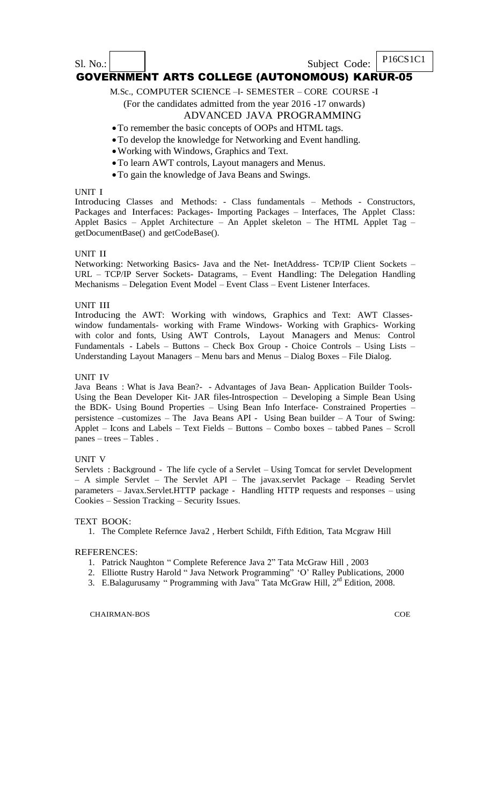## Sl. No.: Subject Code: P16CS1C1 GOVERNMENT ARTS COLLEGE (AUTONOMOUS) KARUR-05

M.Sc., COMPUTER SCIENCE –I- SEMESTER – CORE COURSE -I

(For the candidates admitted from the year 2016 -17 onwards)

### ADVANCED JAVA PROGRAMMING

### To remember the basic concepts of OOPs and HTML tags.

- To develop the knowledge for Networking and Event handling.
- Working with Windows, Graphics and Text.
- To learn AWT controls, Layout managers and Menus.
- To gain the knowledge of Java Beans and Swings.

#### UNIT I

Introducing Classes and Methods: - Class fundamentals – Methods - Constructors, Packages and Interfaces: Packages- Importing Packages – Interfaces, The Applet Class: Applet Basics – Applet Architecture – An Applet skeleton – The HTML Applet Tag – getDocumentBase() and getCodeBase().

#### UNIT II

Networking: Networking Basics- Java and the Net- InetAddress- TCP/IP Client Sockets – URL – TCP/IP Server Sockets- Datagrams, – Event Handling: The Delegation Handling Mechanisms – Delegation Event Model – Event Class – Event Listener Interfaces.

#### UNIT III

Introducing the AWT: Working with windows, Graphics and Text: AWT Classeswindow fundamentals- working with Frame Windows- Working with Graphics- Working with color and fonts, Using AWT Controls, Layout Managers and Menus: Control Fundamentals - Labels – Buttons – Check Box Group - Choice Controls – Using Lists – Understanding Layout Managers – Menu bars and Menus – Dialog Boxes – File Dialog.

#### UNIT IV

Java Beans : What is Java Bean?- - Advantages of Java Bean- Application Builder Tools-Using the Bean Developer Kit- JAR files-Introspection – Developing a Simple Bean Using the BDK- Using Bound Properties – Using Bean Info Interface- Constrained Properties – persistence –customizes – The Java Beans API - Using Bean builder – A Tour of Swing: Applet – Icons and Labels – Text Fields – Buttons – Combo boxes – tabbed Panes – Scroll panes – trees – Tables .

#### UNIT V

Servlets : Background - The life cycle of a Servlet – Using Tomcat for servlet Development – A simple Servlet – The Servlet API – The javax.servlet Package – Reading Servlet parameters – Javax.Servlet.HTTP package - Handling HTTP requests and responses – using Cookies – Session Tracking – Security Issues.

#### TEXT BOOK:

1. The Complete Refernce Java2 , Herbert Schildt, Fifth Edition, Tata Mcgraw Hill

#### REFERENCES:

- 1. Patrick Naughton " Complete Reference Java 2" Tata McGraw Hill , 2003
- 2. Elliotte Rustry Harold " Java Network Programming" "O" Ralley Publications, 2000
- 3. E.Balagurusamy "Programming with Java" Tata McGraw Hill, 2<sup>rd</sup> Edition, 2008.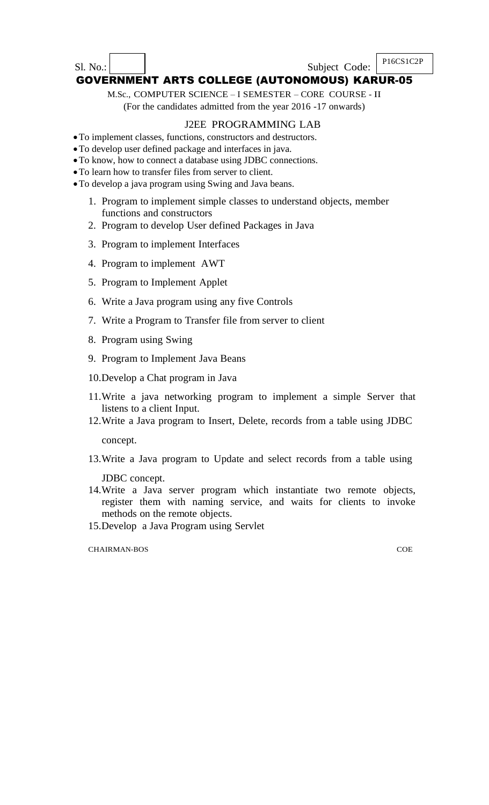Sl. No.: Subject Code: P16CS1C2P

# GOVERNMENT ARTS COLLEGE (AUTONOMOUS) KARUR-05

M.Sc., COMPUTER SCIENCE – I SEMESTER – CORE COURSE - II

(For the candidates admitted from the year 2016 -17 onwards)

## J2EE PROGRAMMING LAB

- To implement classes, functions, constructors and destructors.
- To develop user defined package and interfaces in java.
- To know, how to connect a database using JDBC connections.
- To learn how to transfer files from server to client.
- To develop a java program using Swing and Java beans.
	- 1. Program to implement simple classes to understand objects, member functions and constructors
	- 2. Program to develop User defined Packages in Java
	- 3. Program to implement Interfaces
	- 4. Program to implement AWT
	- 5. Program to Implement Applet
	- 6. Write a Java program using any five Controls
	- 7. Write a Program to Transfer file from server to client
	- 8. Program using Swing
	- 9. Program to Implement Java Beans
	- 10.Develop a Chat program in Java
	- 11.Write a java networking program to implement a simple Server that listens to a client Input.
	- 12.Write a Java program to Insert, Delete, records from a table using JDBC concept.
	- 13.Write a Java program to Update and select records from a table using

JDBC concept.

- 14.Write a Java server program which instantiate two remote objects, register them with naming service, and waits for clients to invoke methods on the remote objects.
- 15.Develop a Java Program using Servlet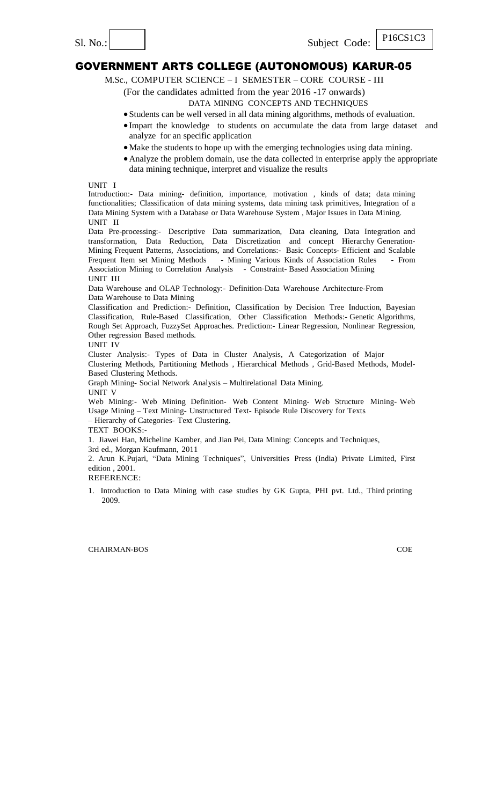Sl. No.: Subject Code:

## GOVERNMENT ARTS COLLEGE (AUTONOMOUS) KARUR-05

M.Sc., COMPUTER SCIENCE – I SEMESTER – CORE COURSE - III

(For the candidates admitted from the year 2016 -17 onwards)

DATA MINING CONCEPTS AND TECHNIQUES

- Students can be well versed in all data mining algorithms, methods of evaluation.
- Impart the knowledge to students on accumulate the data from large dataset and analyze for an specific application
	- Make the students to hope up with the emerging technologies using data mining.
- Analyze the problem domain, use the data collected in enterprise apply the appropriate data mining technique, interpret and visualize the results

UNIT I

Introduction:- Data mining- definition, importance, motivation , kinds of data; data mining functionalities; Classification of data mining systems, data mining task primitives, Integration of a Data Mining System with a Database or Data Warehouse System , Major Issues in Data Mining. UNIT II

Data Pre-processing:- Descriptive Data summarization, Data cleaning, Data Integration and transformation, Data Reduction, Data Discretization and concept Hierarchy Generation-Mining Frequent Patterns, Associations, and Correlations:- Basic Concepts- Efficient and Scalable Frequent Item set Mining Methods - Mining Various Kinds of Association Rules - From Association Mining to Correlation Analysis - Constraint- Based Association Mining UNIT III

Data Warehouse and OLAP Technology:- Definition-Data Warehouse Architecture-From Data Warehouse to Data Mining

Classification and Prediction:- Definition, Classification by Decision Tree Induction, Bayesian Classification, Rule-Based Classification, Other Classification Methods:- Genetic Algorithms, Rough Set Approach, FuzzySet Approaches. Prediction:- Linear Regression, Nonlinear Regression, Other regression Based methods.

UNIT IV

Cluster Analysis:- Types of Data in Cluster Analysis, A Categorization of Major Clustering Methods, Partitioning Methods , Hierarchical Methods , Grid-Based Methods, Model-

Based Clustering Methods.

Graph Mining- Social Network Analysis – Multirelational Data Mining. UNIT V

Web Mining:- Web Mining Definition- Web Content Mining- Web Structure Mining- Web Usage Mining – Text Mining- Unstructured Text- Episode Rule Discovery for Texts – Hierarchy of Categories- Text Clustering.

TEXT BOOKS:-

1. Jiawei Han, Micheline Kamber, and Jian Pei, Data Mining: Concepts and Techniques,

3rd ed., Morgan Kaufmann, 2011

2. Arun K.Pujari, "Data Mining Techniques", Universities Press (India) Private Limited, First edition , 2001.

REFERENCE:

1. Introduction to Data Mining with case studies by GK Gupta, PHI pvt. Ltd., Third printing 2009.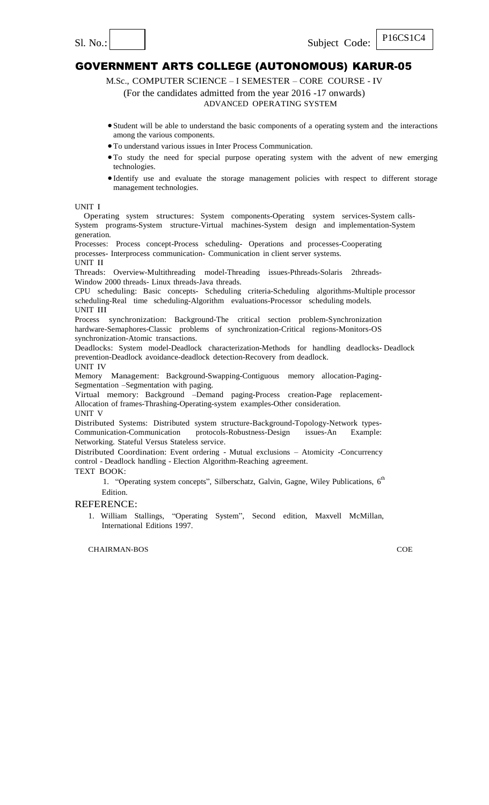P16CS1C4

## GOVERNMENT ARTS COLLEGE (AUTONOMOUS) KARUR-05

M.Sc., COMPUTER SCIENCE – I SEMESTER – CORE COURSE - IV

(For the candidates admitted from the year 2016 -17 onwards)

## ADVANCED OPERATING SYSTEM

- Student will be able to understand the basic components of a operating system and the interactions among the various components.
- To understand various issues in Inter Process Communication.
- To study the need for special purpose operating system with the advent of new emerging technologies.
- Identify use and evaluate the storage management policies with respect to different storage management technologies.

#### UNIT I

Operating system structures: System components-Operating system services-System calls-System programs-System structure-Virtual machines-System design and implementation-System generation.

Processes: Process concept-Process scheduling- Operations and processes-Cooperating processes- Interprocess communication- Communication in client server systems.

#### UNIT II

Threads: Overview-Multithreading model-Threading issues-Pthreads-Solaris 2threads-Window 2000 threads- Linux threads-Java threads.

CPU scheduling: Basic concepts- Scheduling criteria-Scheduling algorithms-Multiple processor scheduling-Real time scheduling-Algorithm evaluations-Processor scheduling models. UNIT III

Process synchronization: Background-The critical section problem-Synchronization hardware-Semaphores-Classic problems of synchronization-Critical regions-Monitors-OS synchronization-Atomic transactions.

Deadlocks: System model-Deadlock characterization-Methods for handling deadlocks- Deadlock prevention-Deadlock avoidance-deadlock detection-Recovery from deadlock. UNIT IV

Memory Management: Background-Swapping-Contiguous memory allocation-Paging-Segmentation –Segmentation with paging.

Virtual memory: Background –Demand paging-Process creation-Page replacement-Allocation of frames-Thrashing-Operating-system examples-Other consideration. UNIT V

Distributed Systems: Distributed system structure-Background-Topology-Network types-Communication-Communication protocols-Robustness-Design issues-An Example: Networking. Stateful Versus Stateless service.

Distributed Coordination: Event ordering - Mutual exclusions – Atomicity -Concurrency control - Deadlock handling - Election Algorithm-Reaching agreement.

TEXT BOOK:

1. "Operating system concepts", Silberschatz, Galvin, Gagne, Wiley Publications, 6<sup>th</sup> **Edition** 

#### REFERENCE:

1. William Stallings, "Operating System", Second edition, Maxvell McMillan, International Editions 1997.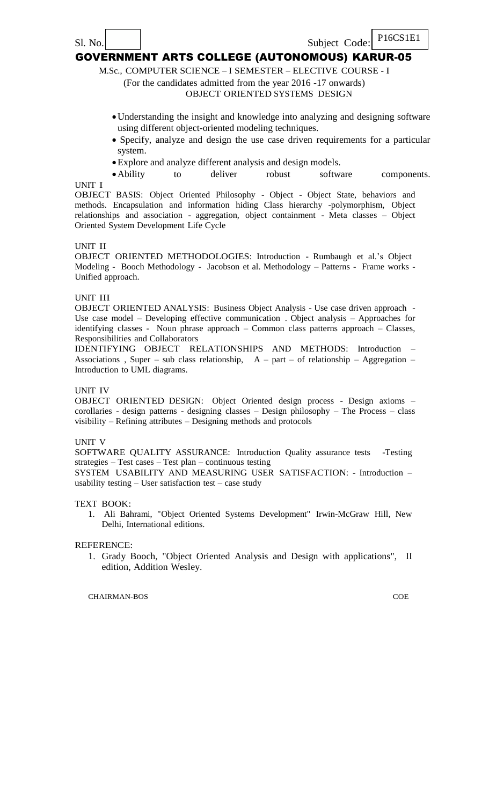M.Sc., COMPUTER SCIENCE – I SEMESTER – ELECTIVE COURSE - I

(For the candidates admitted from the year 2016 -17 onwards)

## OBJECT ORIENTED SYSTEMS DESIGN

- Understanding the insight and knowledge into analyzing and designing software using different object-oriented modeling techniques.
- Specify, analyze and design the use case driven requirements for a particular system.
- Explore and analyze different analysis and design models.

UNIT I • Ability to deliver robust software components.

OBJECT BASIS: Object Oriented Philosophy - Object - Object State, behaviors and methods. Encapsulation and information hiding Class hierarchy -polymorphism, Object relationships and association - aggregation, object containment - Meta classes – Object Oriented System Development Life Cycle

### UNIT II

OBJECT ORIENTED METHODOLOGIES: Introduction - Rumbaugh et al."s Object Modeling - Booch Methodology - Jacobson et al. Methodology – Patterns - Frame works - Unified approach.

### UNIT III

OBJECT ORIENTED ANALYSIS: Business Object Analysis - Use case driven approach - Use case model – Developing effective communication . Object analysis – Approaches for identifying classes - Noun phrase approach – Common class patterns approach – Classes, Responsibilities and Collaborators

IDENTIFYING OBJECT RELATIONSHIPS AND METHODS: Introduction – Associations, Super – sub class relationship,  $A - part - of$  relationship – Aggregation – Introduction to UML diagrams.

### UNIT IV

OBJECT ORIENTED DESIGN: Object Oriented design process - Design axioms – corollaries - design patterns - designing classes – Design philosophy – The Process – class visibility – Refining attributes – Designing methods and protocols

### UNIT V

SOFTWARE QUALITY ASSURANCE: Introduction Quality assurance tests -Testing strategies – Test cases – Test plan – continuous testing

SYSTEM USABILITY AND MEASURING USER SATISFACTION: - Introduction – usability testing – User satisfaction test – case study

TEXT BOOK:

1. Ali Bahrami, "Object Oriented Systems Development" Irwin-McGraw Hill, New Delhi, International editions.

### REFERENCE:

1. Grady Booch, "Object Oriented Analysis and Design with applications", II edition, Addition Wesley.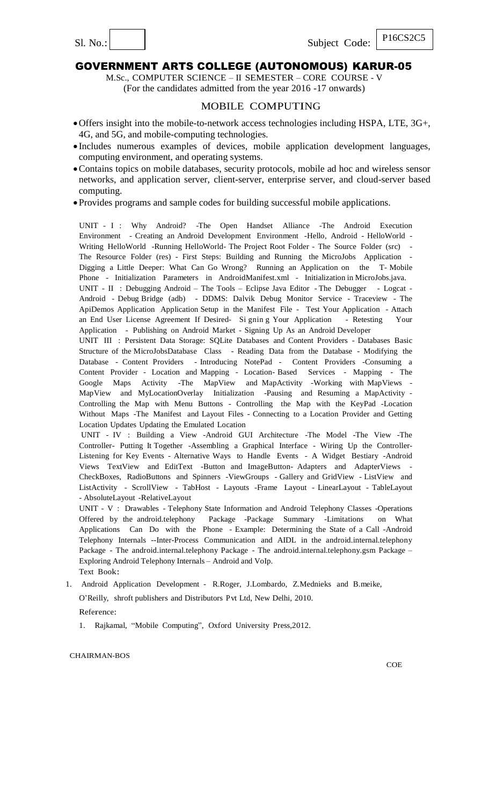Sl. No.:  $\begin{array}{c|c|c|c} \hline \text{S1. No.:} & \text{P16CS2C5} \end{array}$ 

### GOVERNMENT ARTS COLLEGE (AUTONOMOUS) KARUR-05

M.Sc., COMPUTER SCIENCE – II SEMESTER – CORE COURSE - V (For the candidates admitted from the year 2016 -17 onwards)

### MOBILE COMPUTING

- Offers insight into the mobile-to-network access technologies including HSPA, LTE, 3G+, 4G, and 5G, and mobile-computing technologies.
- Includes numerous examples of devices, mobile application development languages, computing environment, and operating systems.
- Contains topics on mobile databases, security protocols, mobile ad hoc and wireless sensor networks, and application server, client-server, enterprise server, and cloud-server based computing.
- Provides programs and sample codes for building successful mobile applications.

UNIT - I : Why Android? -The Open Handset Alliance -The Android Execution Environment - Creating an Android Development Environment -Hello, Android - HelloWorld - Writing HelloWorld -Running HelloWorld- The Project Root Folder - The Source Folder (src) -The Resource Folder (res) - First Steps: Building and Running the MicroJobs Application - Digging a Little Deeper: What Can Go Wrong? Running an Application on the T- Mobile Phone - Initialization Parameters in AndroidManifest.xml - Initialization in MicroJobs.java.

UNIT - II : Debugging Android – The Tools – Eclipse Java Editor - The Debugger - Logcat - Android - Debug Bridge (adb) - DDMS: Dalvik Debug Monitor Service - Traceview - The ApiDemos Application Application Setup in the Manifest File - Test Your Application - Attach an End User License Agreement If Desired- Si gnin g Your Application - Retesting Your Application - Publishing on Android Market - Signing Up As an Android Developer

UNIT III : Persistent Data Storage: SQLite Databases and Content Providers - Databases Basic Structure of the MicroJobsDatabase Class - Reading Data from the Database - Modifying the Database - Content Providers - Introducing NotePad - Content Providers -Consuming a Content Provider - Location and Mapping - Location- Based Services - Mapping - The Google Maps Activity -The MapView and MapActivity -Working with MapViews - MapView and MyLocationOverlay Initialization -Pausing and Resuming a MapActivity - Controlling the Map with Menu Buttons - Controlling the Map with the KeyPad -Location Without Maps -The Manifest and Layout Files - Connecting to a Location Provider and Getting Location Updates Updating the Emulated Location

UNIT - IV : Building a View -Android GUI Architecture -The Model -The View -The Controller- Putting It Together -Assembling a Graphical Interface - Wiring Up the Controller-Listening for Key Events - Alternative Ways to Handle Events - A Widget Bestiary -Android Views TextView and EditText -Button and ImageButton- Adapters and AdapterViews - CheckBoxes, RadioButtons and Spinners -ViewGroups - Gallery and GridView - ListView and ListActivity - ScrollView - TabHost - Layouts -Frame Layout - LinearLayout - TableLayout - AbsoluteLayout -RelativeLayout

UNIT - V : Drawables - Telephony State Information and Android Telephony Classes -Operations Offered by the android.telephony Package -Package Summary -Limitations on What Applications Can Do with the Phone - Example: Determining the State of a Call -Android Telephony Internals --Inter-Process Communication and AIDL in the android.internal.telephony Package - The android.internal.telephony Package - The android.internal.telephony.gsm Package – Exploring Android Telephony Internals – Android and VoIp. Text Book:

1. Android Application Development - R.Roger, J.Lombardo, Z.Mednieks and B.meike, O"Reilly, shroft publishers and Distributors Pvt Ltd, New Delhi, 2010.

Reference:

1. Rajkamal, "Mobile Computing", Oxford University Press,2012.

CHAIRMAN-BOS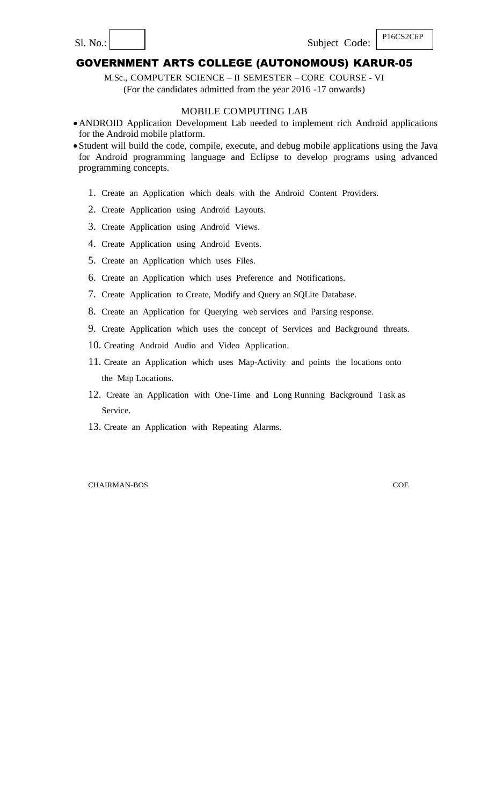M.Sc., COMPUTER SCIENCE – II SEMESTER – CORE COURSE - VI (For the candidates admitted from the year 2016 -17 onwards)

#### MOBILE COMPUTING LAB

- ANDROID Application Development Lab needed to implement rich Android applications for the Android mobile platform.
- Student will build the code, compile, execute, and debug mobile applications using the Java for Android programming language and Eclipse to develop programs using advanced programming concepts.
	- 1. Create an Application which deals with the Android Content Providers.
	- 2. Create Application using Android Layouts.
	- 3. Create Application using Android Views.
	- 4. Create Application using Android Events.
	- 5. Create an Application which uses Files.
	- 6. Create an Application which uses Preference and Notifications.
	- 7. Create Application to Create, Modify and Query an SQLite Database.
	- 8. Create an Application for Querying web services and Parsing response.
	- 9. Create Application which uses the concept of Services and Background threats.
	- 10. Creating Android Audio and Video Application.
	- 11. Create an Application which uses Map-Activity and points the locations onto the Map Locations.
	- 12. Create an Application with One-Time and Long Running Background Task as Service.
	- 13. Create an Application with Repeating Alarms.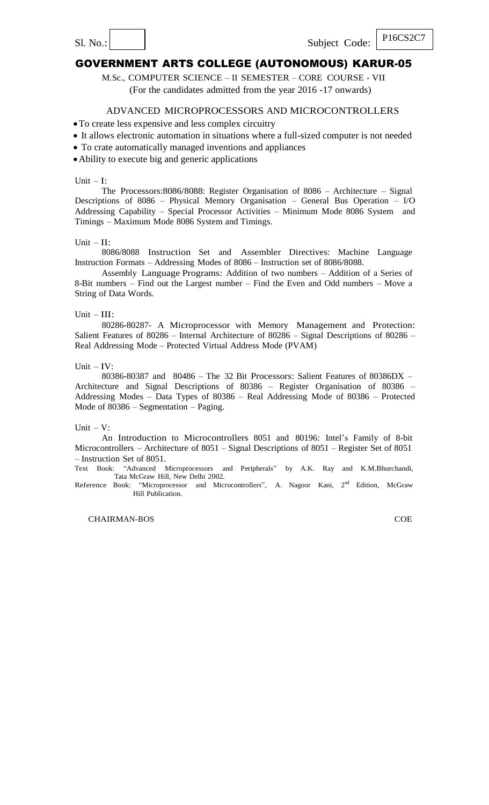M.Sc., COMPUTER SCIENCE – II SEMESTER – CORE COURSE - VII (For the candidates admitted from the year 2016 -17 onwards)

#### ADVANCED MICROPROCESSORS AND MICROCONTROLLERS

To create less expensive and less complex circuitry

- It allows electronic automation in situations where a full-sized computer is not needed
- To crate automatically managed inventions and appliances
- Ability to execute big and generic applications

#### Unit  $-I$ :

The Processors:8086/8088: Register Organisation of 8086 – Architecture – Signal Descriptions of  $8086$  – Physical Memory Organisation – General Bus Operation – I/O Addressing Capability – Special Processor Activities – Minimum Mode 8086 System and Timings – Maximum Mode 8086 System and Timings.

#### Unit - II:

8086/8088 Instruction Set and Assembler Directives: Machine Language Instruction Formats – Addressing Modes of 8086 – Instruction set of 8086/8088.

Assembly Language Programs: Addition of two numbers – Addition of a Series of 8-Bit numbers – Find out the Largest number – Find the Even and Odd numbers – Move a String of Data Words.

#### Unit – III:

80286-80287- A Microprocessor with Memory Management and Protection: Salient Features of 80286 – Internal Architecture of 80286 – Signal Descriptions of 80286 – Real Addressing Mode – Protected Virtual Address Mode (PVAM)

#### Unit  $-IV$ :

80386-80387 and 80486 – The 32 Bit Processors: Salient Features of 80386DX – Architecture and Signal Descriptions of 80386 – Register Organisation of 80386 – Addressing Modes – Data Types of 80386 – Real Addressing Mode of 80386 – Protected Mode of 80386 – Segmentation – Paging.

#### Unit  $-V$ :

An Introduction to Microcontrollers 8051 and 80196: Intel"s Family of 8-bit Microcontrollers – Architecture of 8051 – Signal Descriptions of 8051 – Register Set of 8051 – Instruction Set of 8051.

Text Book: "Advanced Microprocessors and Peripherals" by A.K. Ray and K.M.Bhurchandi, Tata McGraw Hill, New Delhi 2002.

Reference Book: "Microprocessor and Microcontrollers", A. Nagoor Kani, 2<sup>nd</sup> Edition, McGraw Hill Publication.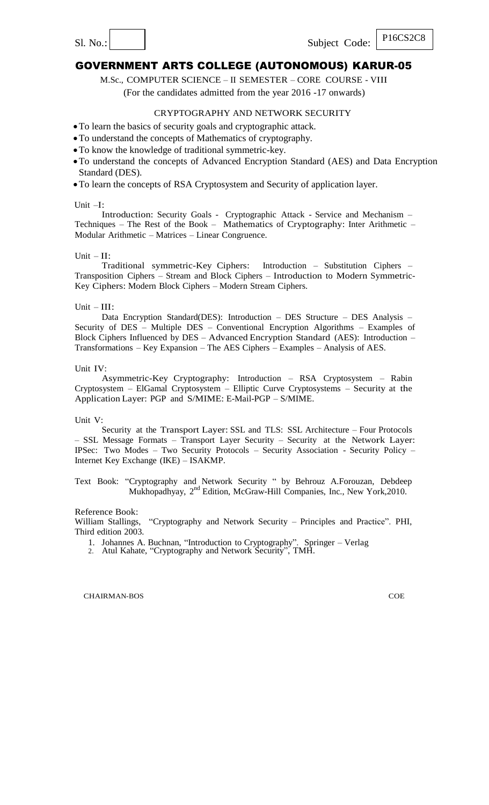M.Sc., COMPUTER SCIENCE – II SEMESTER – CORE COURSE - VIII

(For the candidates admitted from the year 2016 -17 onwards)

### CRYPTOGRAPHY AND NETWORK SECURITY

To learn the basics of security goals and cryptographic attack.

- To understand the concepts of Mathematics of cryptography.
- To know the knowledge of traditional symmetric-key.
- To understand the concepts of Advanced Encryption Standard (AES) and Data Encryption Standard (DES).
- To learn the concepts of RSA Cryptosystem and Security of application layer.

#### Unit –I:

Introduction: Security Goals - Cryptographic Attack - Service and Mechanism – Techniques – The Rest of the Book – Mathematics of Cryptography: Inter Arithmetic – Modular Arithmetic – Matrices – Linear Congruence.

#### Unit  $-$  II:

Traditional symmetric-Key Ciphers: Introduction – Substitution Ciphers – Transposition Ciphers – Stream and Block Ciphers – Introduction to Modern Symmetric-Key Ciphers: Modern Block Ciphers – Modern Stream Ciphers.

#### Unit – III:

Data Encryption Standard(DES): Introduction – DES Structure – DES Analysis – Security of DES – Multiple DES – Conventional Encryption Algorithms – Examples of Block Ciphers Influenced by DES – Advanced Encryption Standard (AES): Introduction – Transformations – Key Expansion – The AES Ciphers – Examples – Analysis of AES.

Unit IV:

Asymmetric-Key Cryptography: Introduction – RSA Cryptosystem – Rabin Cryptosystem – ElGamal Cryptosystem – Elliptic Curve Cryptosystems – Security at the Application Layer: PGP and S/MIME: E-Mail-PGP – S/MIME.

Unit V:

Security at the Transport Layer: SSL and TLS: SSL Architecture – Four Protocols – SSL Message Formats – Transport Layer Security – Security at the Network Layer: IPSec: Two Modes – Two Security Protocols – Security Association - Security Policy – Internet Key Exchange (IKE) – ISAKMP.

Text Book: "Cryptography and Network Security " by Behrouz A.Forouzan, Debdeep Mukhopadhyay, 2<sup>nd</sup> Edition, McGraw-Hill Companies, Inc., New York, 2010.

#### Reference Book:

William Stallings, "Cryptography and Network Security – Principles and Practice". PHI, Third edition 2003.

- 1. Johannes A. Buchnan, "Introduction to Cryptography". Springer Verlag
- 2. Atul Kahate, "Cryptography and Network Security", TMH.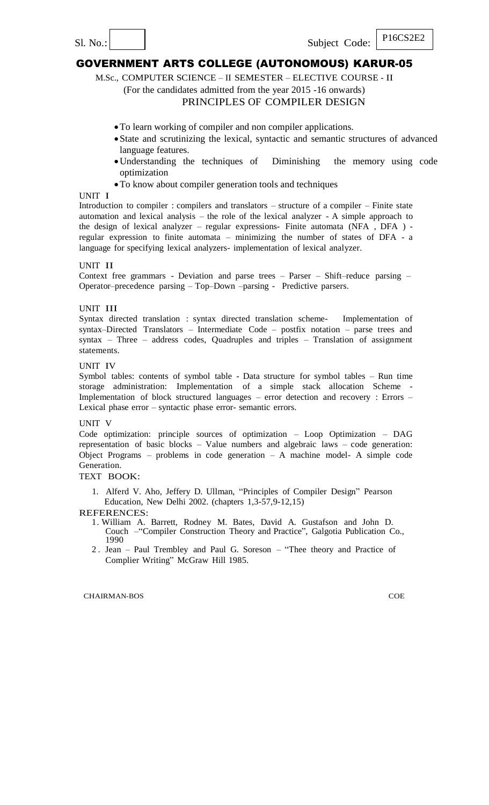M.Sc., COMPUTER SCIENCE – II SEMESTER – ELECTIVE COURSE - II

(For the candidates admitted from the year 2015 -16 onwards)

### PRINCIPLES OF COMPILER DESIGN

- To learn working of compiler and non compiler applications.
- State and scrutinizing the lexical, syntactic and semantic structures of advanced language features.
- Understanding the techniques of Diminishing the memory using code optimization
- To know about compiler generation tools and techniques

#### UNIT I

Introduction to compiler : compilers and translators – structure of a compiler – Finite state automation and lexical analysis – the role of the lexical analyzer - A simple approach to the design of lexical analyzer – regular expressions- Finite automata (NFA , DFA ) regular expression to finite automata – minimizing the number of states of DFA - a language for specifying lexical analyzers- implementation of lexical analyzer.

### UNIT II

Context free grammars - Deviation and parse trees – Parser – Shift–reduce parsing – Operator–precedence parsing – Top–Down –parsing - Predictive parsers.

#### UNIT III

Syntax directed translation : syntax directed translation scheme- Implementation of syntax–Directed Translators – Intermediate Code – postfix notation – parse trees and syntax – Three – address codes, Quadruples and triples – Translation of assignment statements.

#### UNIT IV

Symbol tables: contents of symbol table - Data structure for symbol tables – Run time storage administration: Implementation of a simple stack allocation Scheme Implementation of block structured languages – error detection and recovery : Errors – Lexical phase error – syntactic phase error- semantic errors.

#### UNIT V

Code optimization: principle sources of optimization – Loop Optimization – DAG representation of basic blocks – Value numbers and algebraic laws – code generation: Object Programs – problems in code generation – A machine model- A simple code Generation.

### TEXT BOOK:

1. Alferd V. Aho, Jeffery D. Ullman, "Principles of Compiler Design" Pearson Education, New Delhi 2002. (chapters 1,3-57,9-12,15)

REFERENCES:

- 1. William A. Barrett, Rodney M. Bates, David A. Gustafson and John D. Couch –"Compiler Construction Theory and Practice", Galgotia Publication Co., 1990
- 2 . Jean Paul Trembley and Paul G. Soreson "Thee theory and Practice of Complier Writing" McGraw Hill 1985.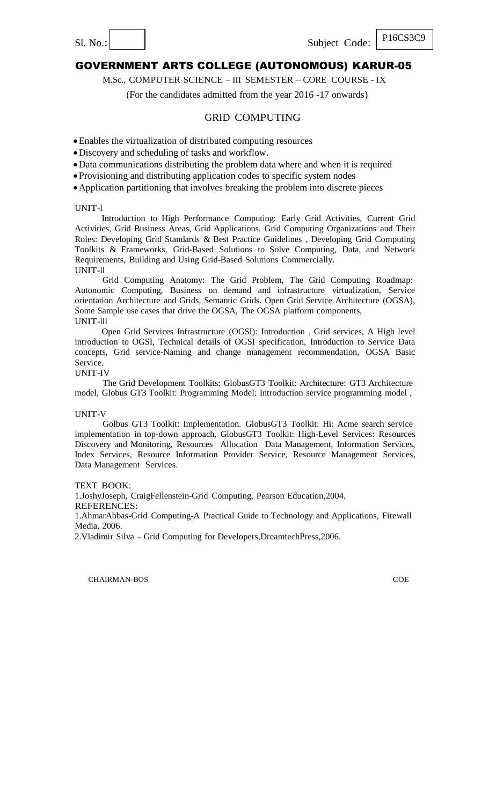M.Sc., COMPUTER SCIENCE – III SEMESTER – CORE COURSE - IX

(For the candidates admitted from the year 2016 -17 onwards)

### GRID COMPUTING

Enables the virtualization of distributed computing resources

Discovery and scheduling of tasks and workflow.

Data communications distributing the problem data where and when it is required

Provisioning and distributing application codes to specific system nodes

Application partitioning that involves breaking the problem into discrete pieces

#### UNIT-l

Introduction to High Performance Computing: Early Grid Activities, Current Grid Activities, Grid Business Areas, Grid Applications. Grid Computing Organizations and Their Roles: Developing Grid Standards & Best Practice Guidelines , Developing Grid Computing Toolkits & Frameworks, Grid-Based Solutions to Solve Computing, Data, and Network Requirements, Building and Using Grid-Based Solutions Commercially. UNIT-ll

Grid Computing Anatomy: The Grid Problem, The Grid Computing Roadmap: Autonomic Computing, Business on demand and infrastructure virtualization, Service orientation Architecture and Grids, Semantic Grids. Open Grid Service Architecture (OGSA), Some Sample use cases that drive the OGSA, The OGSA platform components, UNIT-lll

Open Grid Services Infrastructure (OGSI): Introduction , Grid services, A High level introduction to OGSI, Technical details of OGSI specification, Introduction to Service Data concepts, Grid service-Naming and change management recommendation, OGSA Basic Service.

### UNIT-IV

The Grid Development Toolkits: GlobusGT3 Toolkit: Architecture: GT3 Architecture model, Globus GT3 Toolkit: Programming Model: Introduction service programming model ,

#### UNIT-V

Golbus GT3 Toolkit: Implementation. GlobusGT3 Toolkit: Hi: Acme search service implementation in top-down approach, GlobusGT3 Toolkit: High-Level Services: Resources Discovery and Monitoring, Resources Allocation Data Management, Information Services, Index Services, Resource Information Provider Service, Resource Management Services, Data Management Services.

#### TEXT BOOK:

1.JoshyJoseph, CraigFellenstein-Grid Computing, Pearson Education,2004.

REFERENCES:

1.AhmarAbbas-Grid Computing-A Practical Guide to Technology and Applications, Firewall Media, 2006.

2.Vladimir Silva – Grid Computing for Developers,DreamtechPress,2006.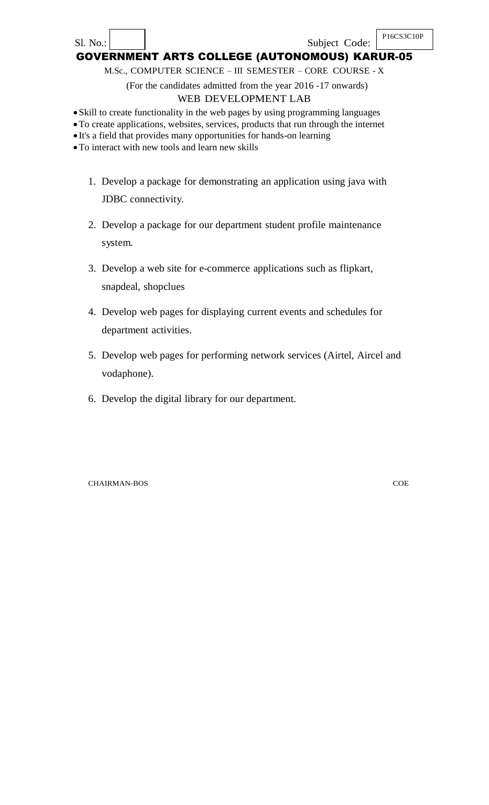#### Sl. No.: Subject Code: P16CS3C10P GOVERNMENT ARTS COLLEGE (AUTONOMOUS) KARUR-05

M.Sc., COMPUTER SCIENCE – III SEMESTER – CORE COURSE - X

(For the candidates admitted from the year 2016 -17 onwards)

## WEB DEVELOPMENT LAB

Skill to create functionality in the web pages by using programming languages

- To create applications, websites, services, products that run through the internet
- It's a field that provides many opportunities for hands-on learning

To interact with new tools and learn new skills

- 1. Develop a package for demonstrating an application using java with JDBC connectivity.
- 2. Develop a package for our department student profile maintenance system.
- 3. Develop a web site for e-commerce applications such as flipkart, snapdeal, shopclues
- 4. Develop web pages for displaying current events and schedules for department activities.
- 5. Develop web pages for performing network services (Airtel, Aircel and vodaphone).
- 6. Develop the digital library for our department.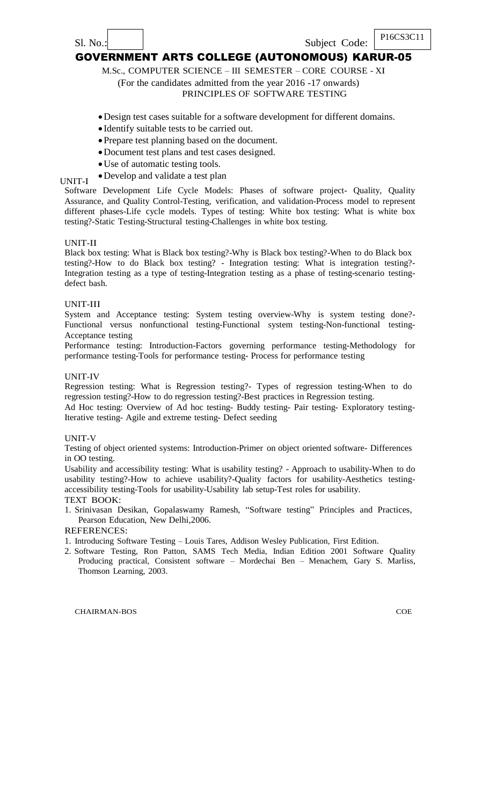M.Sc., COMPUTER SCIENCE – III SEMESTER – CORE COURSE - XI

# (For the candidates admitted from the year 2016 -17 onwards)

## PRINCIPLES OF SOFTWARE TESTING

- Design test cases suitable for a software development for different domains.
- Identify suitable tests to be carried out.
- Prepare test planning based on the document.
- Document test plans and test cases designed.
- Use of automatic testing tools.
- Develop and validate a test plan

## UNIT-I

Software Development Life Cycle Models: Phases of software project- Quality, Quality Assurance, and Quality Control-Testing, verification, and validation-Process model to represent different phases-Life cycle models. Types of testing: White box testing: What is white box testing?-Static Testing-Structural testing-Challenges in white box testing.

### UNIT-II

Black box testing: What is Black box testing?-Why is Black box testing?-When to do Black box testing?-How to do Black box testing? - Integration testing: What is integration testing?- Integration testing as a type of testing-Integration testing as a phase of testing-scenario testingdefect bash.

### UNIT-III

System and Acceptance testing: System testing overview-Why is system testing done?- Functional versus nonfunctional testing-Functional system testing-Non-functional testing-Acceptance testing

Performance testing: Introduction-Factors governing performance testing-Methodology for performance testing-Tools for performance testing- Process for performance testing

#### UNIT-IV

Regression testing: What is Regression testing?- Types of regression testing-When to do regression testing?-How to do regression testing?-Best practices in Regression testing.

Ad Hoc testing: Overview of Ad hoc testing- Buddy testing- Pair testing- Exploratory testing-Iterative testing- Agile and extreme testing- Defect seeding

### UNIT-V

Testing of object oriented systems: Introduction-Primer on object oriented software- Differences in OO testing.

Usability and accessibility testing: What is usability testing? - Approach to usability-When to do usability testing?-How to achieve usability?-Quality factors for usability-Aesthetics testingaccessibility testing-Tools for usability-Usability lab setup-Test roles for usability.

#### TEXT BOOK:

1. Srinivasan Desikan, Gopalaswamy Ramesh, "Software testing" Principles and Practices, Pearson Education, New Delhi,2006.

### REFERENCES:

- 1. Introducing Software Testing Louis Tares, Addison Wesley Publication, First Edition.
- 2. Software Testing, Ron Patton, SAMS Tech Media, Indian Edition 2001 Software Quality Producing practical, Consistent software – Mordechai Ben – Menachem, Gary S. Marliss, Thomson Learning, 2003.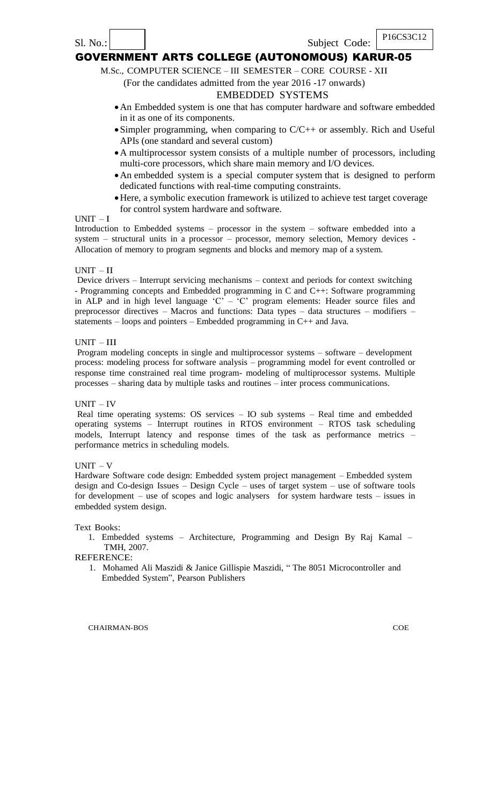M.Sc., COMPUTER SCIENCE – III SEMESTER – CORE COURSE - XII

### (For the candidates admitted from the year 2016 -17 onwards)

## EMBEDDED SYSTEMS

- An Embedded system is one that has computer hardware and software embedded in it as one of its components.
- Simpler programming, when comparing to C/C++ or assembly. Rich and Useful APIs (one standard and several custom)
- A multiprocessor system consists of a multiple number of processors, including multi-core processors, which share main memory and I/O devices.
- An embedded system is a special computer system that is designed to perform dedicated functions with real-time computing constraints.
- Here, a symbolic execution framework is utilized to achieve test target coverage for control system hardware and software.

#### UNIT – I

Introduction to Embedded systems – processor in the system – software embedded into a system – structural units in a processor – processor, memory selection, Memory devices - Allocation of memory to program segments and blocks and memory map of a system.

### UNIT – II

Device drivers – Interrupt servicing mechanisms – context and periods for context switching - Programming concepts and Embedded programming in C and C++: Software programming in ALP and in high level language  $(C - C)$  program elements: Header source files and preprocessor directives – Macros and functions: Data types – data structures – modifiers – statements – loops and pointers – Embedded programming in C++ and Java.

#### UNIT – III

Program modeling concepts in single and multiprocessor systems – software – development process: modeling process for software analysis – programming model for event controlled or response time constrained real time program- modeling of multiprocessor systems. Multiple processes – sharing data by multiple tasks and routines – inter process communications.

#### UNIT – IV

Real time operating systems: OS services – IO sub systems – Real time and embedded operating systems – Interrupt routines in RTOS environment – RTOS task scheduling models, Interrupt latency and response times of the task as performance metrics – performance metrics in scheduling models.

### $UNIT - V$

Hardware Software code design: Embedded system project management – Embedded system design and Co-design Issues – Design Cycle – uses of target system – use of software tools for development – use of scopes and logic analysers for system hardware tests – issues in embedded system design.

#### Text Books:

1. Embedded systems – Architecture, Programming and Design By Raj Kamal – TMH, 2007.

#### REFERENCE:

1. Mohamed Ali Maszidi & Janice Gillispie Maszidi, " The 8051 Microcontroller and Embedded System", Pearson Publishers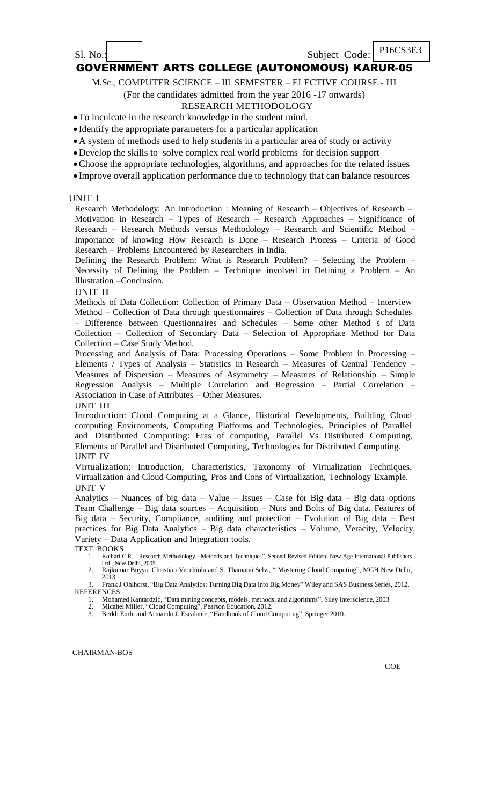### Sl. No.: Subject Code:

P16CS3E3

## GOVERNMENT ARTS COLLEGE (AUTONOMOUS) KARUR-05

M.Sc., COMPUTER SCIENCE – III SEMESTER – ELECTIVE COURSE - III

(For the candidates admitted from the year 2016 -17 onwards)

## RESEARCH METHODOLOGY

To inculcate in the research knowledge in the student mind.

Identify the appropriate parameters for a particular application

A system of methods used to help students in a particular area of study or activity

- Develop the skills to solve complex real world problems for decision support
- Choose the appropriate technologies, algorithms, and approaches for the related issues
- Improve overall application performance due to technology that can balance resources

#### UNIT I

Research Methodology: An Introduction : Meaning of Research – Objectives of Research – Motivation in Research – Types of Research – Research Approaches – Significance of Research – Research Methods versus Methodology – Research and Scientific Method – Importance of knowing How Research is Done – Research Process – Criteria of Good Research – Problems Encountered by Researchers in India.

Defining the Research Problem: What is Research Problem? – Selecting the Problem – Necessity of Defining the Problem – Technique involved in Defining a Problem – An Illustration –Conclusion.

#### UNIT II

Methods of Data Collection: Collection of Primary Data – Observation Method – Interview Method – Collection of Data through questionnaires – Collection of Data through Schedules – Difference between Questionnaires and Schedules – Some other Method s of Data Collection – Collection of Secondary Data – Selection of Appropriate Method for Data Collection – Case Study Method.

Processing and Analysis of Data: Processing Operations – Some Problem in Processing – Elements / Types of Analysis – Statistics in Research – Measures of Central Tendency – Measures of Dispersion – Measures of Asymmetry – Measures of Relationship – Simple Regression Analysis – Multiple Correlation and Regression – Partial Correlation – Association in Case of Attributes – Other Measures.

#### UNIT III

Introduction: Cloud Computing at a Glance, Historical Developments, Building Cloud computing Environments, Computing Platforms and Technologies. Principles of Parallel and Distributed Computing: Eras of computing, Parallel Vs Distributed Computing, Elements of Parallel and Distributed Computing, Technologies for Distributed Computing. UNIT IV

Virtualization: Introduction, Characteristics, Taxonomy of Virtualization Techniques, Virtualization and Cloud Computing, Pros and Cons of Virtualization, Technology Example. UNIT V

Analytics – Nuances of big data – Value – Issues – Case for Big data – Big data options Team Challenge – Big data sources – Acquisition – Nuts and Bolts of Big data. Features of Big data – Security, Compliance, auditing and protection – Evolution of Big data – Best practices for Big Data Analytics – Big data characteristics – Volume, Veracity, Velocity, Variety – Data Application and Integration tools.

TEXT BOOKS:

- 1. Kothari C.R., "Research Methodology Methods and Techniques", Second Revised Edition, New Age International Publishers Ltd., New Delhi, 2005. 2. Rajkumar Buyya, Christian Vecehiola and S. Thamarai Selvi, " Mastering Cloud Computing", MGH New Delhi,
- 2013. 3. Frank J Ohlhorst, "Big Data Analytics: Turning Big Data into Big Money" Wiley and SAS Business Series, 2012.
- REFERENCES:

1. Mohamed Kantardzic, "Data mining concepts, models, methods, and algorithms", Siley Interscience, 2003

2. Micahel Miller, "Cloud Computing", Pearson Education, 2012.

3. Berkb Eurht and Armando J. Escalante, "Handbook of Cloud Computing", Springer 2010.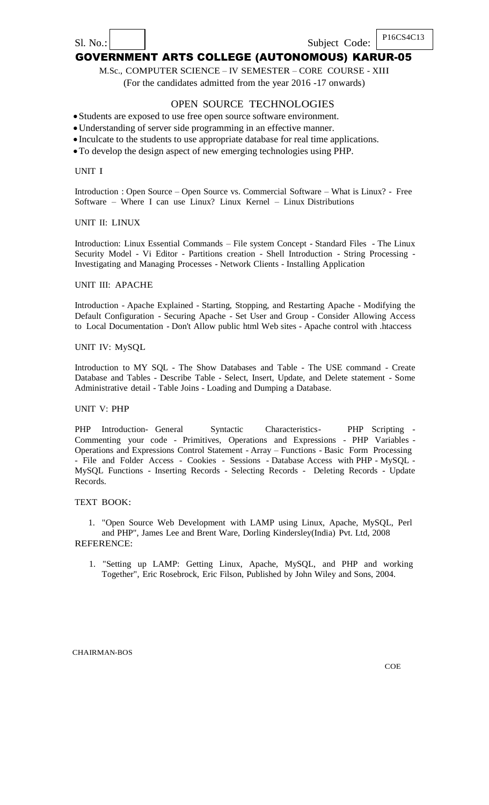#### P16CS4C13 Sl. No.: Subject Code: GOVERNMENT ARTS COLLEGE (AUTONOMOUS) KARUR-05

M.Sc., COMPUTER SCIENCE – IV SEMESTER – CORE COURSE - XIII (For the candidates admitted from the year 2016 -17 onwards)

### OPEN SOURCE TECHNOLOGIES

Students are exposed to use free open source software environment.

Understanding of server side programming in an effective manner.

Inculcate to the students to use appropriate database for real time applications.

To develop the design aspect of new emerging technologies using PHP.

UNIT I

Introduction : Open Source – Open Source vs. Commercial Software – What is Linux? - Free Software – Where I can use Linux? Linux Kernel – Linux Distributions

#### UNIT II: LINUX

Introduction: Linux Essential Commands – File system Concept - Standard Files - The Linux Security Model - Vi Editor - Partitions creation - Shell Introduction - String Processing - Investigating and Managing Processes - Network Clients - Installing Application

### UNIT III: APACHE

Introduction - Apache Explained - Starting, Stopping, and Restarting Apache - Modifying the Default Configuration - Securing Apache - Set User and Group - Consider Allowing Access to Local Documentation - Don't Allow public html Web sites - Apache control with .htaccess

#### UNIT IV: MySQL

Introduction to MY SQL - The Show Databases and Table - The USE command - Create Database and Tables - Describe Table - Select, Insert, Update, and Delete statement - Some Administrative detail - Table Joins - Loading and Dumping a Database.

### UNIT V: PHP

PHP Introduction- General Syntactic Characteristics- PHP Scripting -Commenting your code - Primitives, Operations and Expressions - PHP Variables - Operations and Expressions Control Statement - Array – Functions - Basic Form Processing - File and Folder Access - Cookies - Sessions - Database Access with PHP - MySQL - MySQL Functions - Inserting Records - Selecting Records - Deleting Records - Update Records.

### TEXT BOOK:

1. "Open Source Web Development with LAMP using Linux, Apache, MySQL, Perl and PHP", James Lee and Brent Ware, Dorling Kindersley(India) Pvt. Ltd, 2008 REFERENCE:

1. "Setting up LAMP: Getting Linux, Apache, MySQL, and PHP and working Together", Eric Rosebrock, Eric Filson, Published by John Wiley and Sons, 2004.

CHAIRMAN-BOS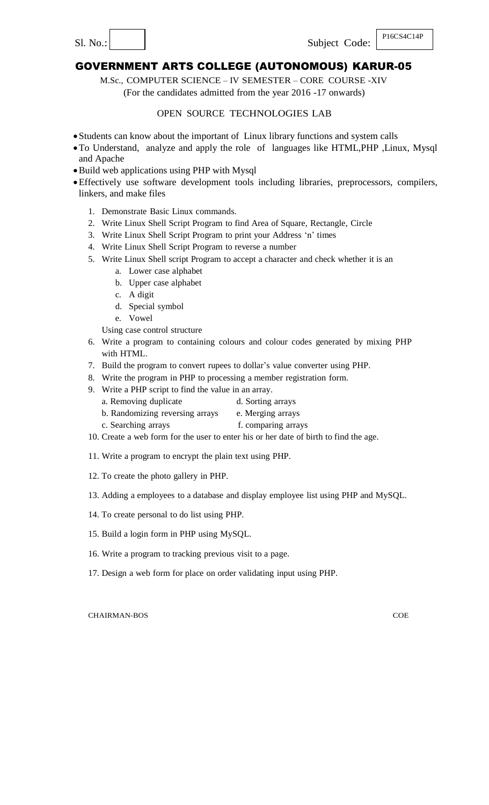M.Sc., COMPUTER SCIENCE – IV SEMESTER – CORE COURSE -XIV (For the candidates admitted from the year 2016 -17 onwards)

## OPEN SOURCE TECHNOLOGIES LAB

- Students can know about the important of Linux library functions and system calls
- To Understand, analyze and apply the role of languages like HTML,PHP ,Linux, Mysql and Apache
- Build web applications using PHP with Mysql
- Effectively use software development tools including libraries, preprocessors, compilers, linkers, and make files
	- 1. Demonstrate Basic Linux commands.
	- 2. Write Linux Shell Script Program to find Area of Square, Rectangle, Circle
	- 3. Write Linux Shell Script Program to print your Address "n" times
	- 4. Write Linux Shell Script Program to reverse a number
	- 5. Write Linux Shell script Program to accept a character and check whether it is an
		- a. Lower case alphabet
		- b. Upper case alphabet
		- c. A digit
		- d. Special symbol
		- e. Vowel

Using case control structure

- 6. Write a program to containing colours and colour codes generated by mixing PHP with HTML.
- 7. Build the program to convert rupees to dollar"s value converter using PHP.
- 8. Write the program in PHP to processing a member registration form.
- 9. Write a PHP script to find the value in an array.
	- a. Removing duplicate d. Sorting arrays
	- b. Randomizing reversing arrays e. Merging arrays
	- c. Searching arrays f. comparing arrays
- 10. Create a web form for the user to enter his or her date of birth to find the age.
- 11. Write a program to encrypt the plain text using PHP.
- 12. To create the photo gallery in PHP.
- 13. Adding a employees to a database and display employee list using PHP and MySQL.
- 14. To create personal to do list using PHP.
- 15. Build a login form in PHP using MySQL.
- 16. Write a program to tracking previous visit to a page.
- 17. Design a web form for place on order validating input using PHP.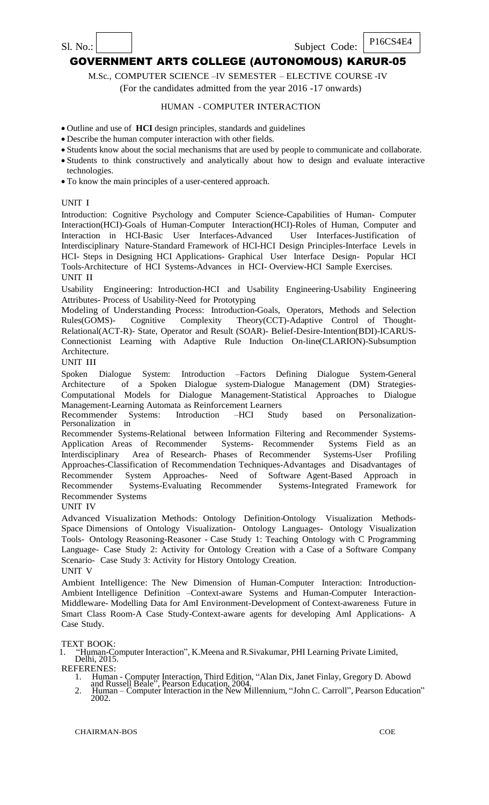M.Sc., COMPUTER SCIENCE –IV SEMESTER – ELECTIVE COURSE -IV

(For the candidates admitted from the year 2016 -17 onwards)

### HUMAN - COMPUTER INTERACTION

Outline and use of **HCI** design principles, standards and guidelines

- Describe the human computer interaction with other fields.
- Students know about the social mechanisms that are used by people to communicate and collaborate.
- Students to think constructively and analytically about how to design and evaluate interactive technologies.
- To know the main principles of a user-centered approach.

#### UNIT I

Introduction: Cognitive Psychology and Computer Science-Capabilities of Human- Computer Interaction(HCI)-Goals of Human-Computer Interaction(HCI)-Roles of Human, Computer and Interaction in HCI-Basic User Interfaces-Advanced User Interfaces-Justification of Interdisciplinary Nature-Standard Framework of HCI-HCI Design Principles-Interface Levels in HCI- Steps in Designing HCI Applications- Graphical User Interface Design- Popular HCI Tools-Architecture of HCI Systems-Advances in HCI- Overview-HCI Sample Exercises.

UNIT II

Usability Engineering: Introduction-HCI and Usability Engineering-Usability Engineering Attributes- Process of Usability-Need for Prototyping

Modeling of Understanding Process: Introduction-Goals, Operators, Methods and Selection Rules(GOMS)- Cognitive Complexity Theory(CCT)-Adaptive Control of Thought-Relational(ACT-R)- State, Operator and Result (SOAR)- Belief-Desire-Intention(BDI)-ICARUS-Connectionist Learning with Adaptive Rule Induction On-line(CLARION)-Subsumption Architecture.

UNIT III

Spoken Dialogue System: Introduction –Factors Defining Dialogue System-General Architecture of a Spoken Dialogue system-Dialogue Management (DM) Strategies-Computational Models for Dialogue Management-Statistical Approaches to Dialogue Management-Learning Automata as Reinforcement Learners

Recommender Systems: Introduction –HCI Study based on Personalization-Personalization in

Recommender Systems-Relational between Information Filtering and Recommender Systems-Application Areas of Recommender Systems- Recommender Systems Field as an Interdisciplinary Area of Research- Phases of Recommender Systems-User Profiling Approaches-Classification of Recommendation Techniques-Advantages and Disadvantages of Recommender System Approaches- Need of Software Agent-Based Approach in Recommender Systems-Evaluating Recommender Systems-Integrated Framework for Recommender Systems

UNIT IV

Advanced Visualization Methods: Ontology Definition-Ontology Visualization Methods-Space Dimensions of Ontology Visualization- Ontology Languages- Ontology Visualization Tools- Ontology Reasoning-Reasoner - Case Study 1: Teaching Ontology with C Programming Language- Case Study 2: Activity for Ontology Creation with a Case of a Software Company Scenario- Case Study 3: Activity for History Ontology Creation. UNIT V

Ambient Intelligence: The New Dimension of Human-Computer Interaction: Introduction-Ambient Intelligence Definition –Context-aware Systems and Human-Computer Interaction-Middleware- Modelling Data for AmI Environment-Development of Context-awareness Future in Smart Class Room-A Case Study-Context-aware agents for developing AmI Applications- A Case Study.

TEXT BOOK:<br>1. "Human-Co

"Human-Computer Interaction", K.Meena and R.Sivakumar, PHI Learning Private Limited, Delhi, 2015.

REFERENES:<br>1. Human

- 1. Human Computer Interaction, Third Edition, "Alan Dix, Janet Finlay, Gregory D. Abowd and Russell Beale", Pearson Education, 2004.
- 2. Human Computer Interaction in the New Millennium, "John C. Carroll", Pearson Education" 2002.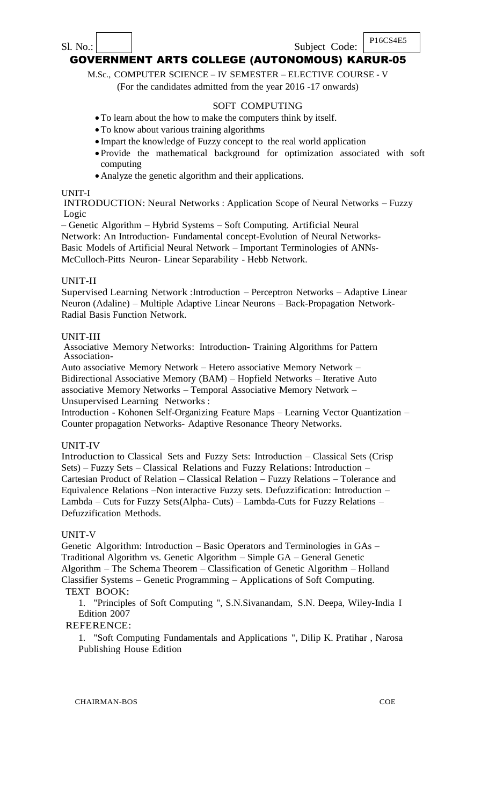# $\text{S1. No.}:$  Subject Code: P<sup>16CS4E5</sup> GOVERNMENT ARTS COLLEGE (AUTONOMOUS) KARUR-05

# M.Sc., COMPUTER SCIENCE – IV SEMESTER – ELECTIVE COURSE - V

(For the candidates admitted from the year 2016 -17 onwards)

### SOFT COMPUTING

- To learn about the how to make the computers think by itself.
- To know about various training algorithms
- Impart the knowledge of Fuzzy concept to the real world application
- Provide the mathematical background for optimization associated with soft computing
- Analyze the genetic algorithm and their applications.

#### UNIT-I

INTRODUCTION: Neural Networks : Application Scope of Neural Networks – Fuzzy Logic

– Genetic Algorithm – Hybrid Systems – Soft Computing. Artificial Neural Network: An Introduction- Fundamental concept-Evolution of Neural Networks-Basic Models of Artificial Neural Network – Important Terminologies of ANNs-McCulloch-Pitts Neuron- Linear Separability - Hebb Network.

### UNIT-II

Supervised Learning Network :Introduction – Perceptron Networks – Adaptive Linear Neuron (Adaline) – Multiple Adaptive Linear Neurons – Back-Propagation Network-Radial Basis Function Network.

### UNIT-III

Associative Memory Networks: Introduction- Training Algorithms for Pattern Association-

Auto associative Memory Network – Hetero associative Memory Network – Bidirectional Associative Memory (BAM) – Hopfield Networks – Iterative Auto associative Memory Networks – Temporal Associative Memory Network – Unsupervised Learning Networks :

Introduction - Kohonen Self-Organizing Feature Maps – Learning Vector Quantization – Counter propagation Networks- Adaptive Resonance Theory Networks.

### UNIT-IV

Introduction to Classical Sets and Fuzzy Sets: Introduction – Classical Sets (Crisp Sets) – Fuzzy Sets – Classical Relations and Fuzzy Relations: Introduction – Cartesian Product of Relation – Classical Relation – Fuzzy Relations – Tolerance and Equivalence Relations –Non interactive Fuzzy sets. Defuzzification: Introduction – Lambda – Cuts for Fuzzy Sets(Alpha- Cuts) – Lambda-Cuts for Fuzzy Relations – Defuzzification Methods.

### UNIT-V

Genetic Algorithm: Introduction – Basic Operators and Terminologies in GAs – Traditional Algorithm vs. Genetic Algorithm – Simple GA – General Genetic Algorithm – The Schema Theorem – Classification of Genetic Algorithm – Holland Classifier Systems – Genetic Programming – Applications of Soft Computing. TEXT BOOK:

1. "Principles of Soft Computing ", S.N.Sivanandam, S.N. Deepa, Wiley-India I Edition 2007

### REFERENCE:

1. "Soft Computing Fundamentals and Applications ", Dilip K. Pratihar , Narosa Publishing House Edition